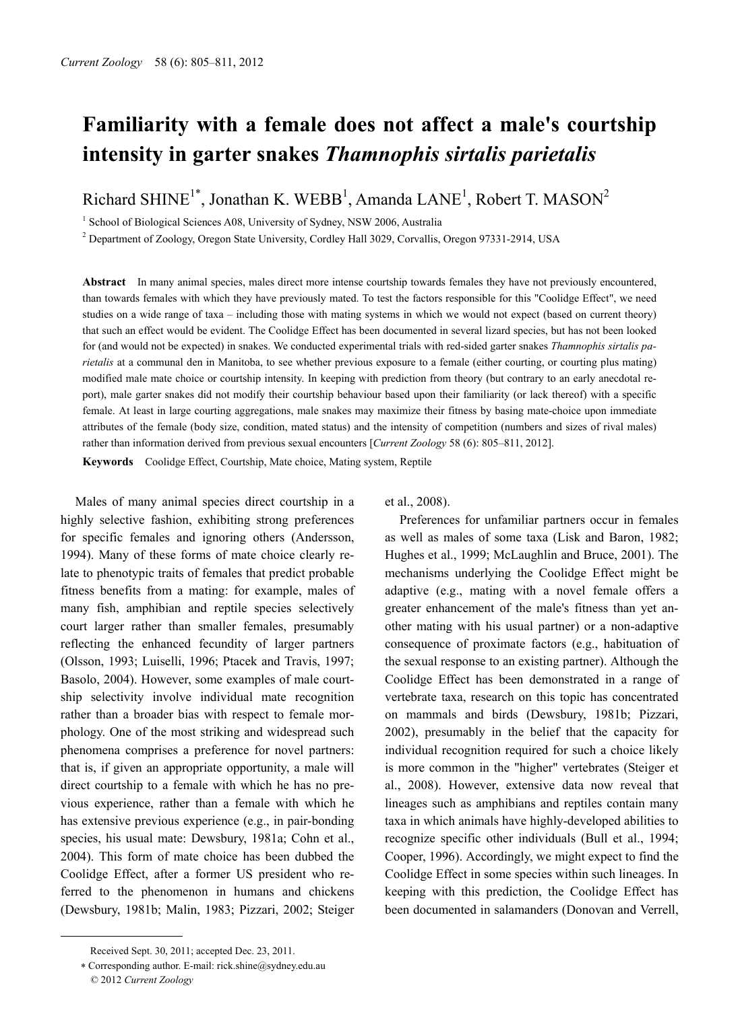# **Familiarity with a female does not affect a male's courtship intensity in garter snakes** *Thamnophis sirtalis parietalis*

Richard SHINE<sup>1\*</sup>, Jonathan K. WEBB<sup>1</sup>, Amanda LANE<sup>1</sup>, Robert T. MASON<sup>2</sup>

<sup>1</sup> School of Biological Sciences A08, University of Sydney, NSW 2006, Australia

2 Department of Zoology, Oregon State University, Cordley Hall 3029, Corvallis, Oregon 97331-2914, USA

**Abstract** In many animal species, males direct more intense courtship towards females they have not previously encountered, than towards females with which they have previously mated. To test the factors responsible for this "Coolidge Effect", we need studies on a wide range of taxa – including those with mating systems in which we would not expect (based on current theory) that such an effect would be evident. The Coolidge Effect has been documented in several lizard species, but has not been looked for (and would not be expected) in snakes. We conducted experimental trials with red-sided garter snakes *Thamnophis sirtalis parietalis* at a communal den in Manitoba, to see whether previous exposure to a female (either courting, or courting plus mating) modified male mate choice or courtship intensity. In keeping with prediction from theory (but contrary to an early anecdotal report), male garter snakes did not modify their courtship behaviour based upon their familiarity (or lack thereof) with a specific female. At least in large courting aggregations, male snakes may maximize their fitness by basing mate-choice upon immediate attributes of the female (body size, condition, mated status) and the intensity of competition (numbers and sizes of rival males) rather than information derived from previous sexual encounters [*Current Zoology* 58 (6): 805–811, 2012].

**Keywords** Coolidge Effect, Courtship, Mate choice, Mating system, Reptile

Males of many animal species direct courtship in a highly selective fashion, exhibiting strong preferences for specific females and ignoring others (Andersson, 1994). Many of these forms of mate choice clearly relate to phenotypic traits of females that predict probable fitness benefits from a mating: for example, males of many fish, amphibian and reptile species selectively court larger rather than smaller females, presumably reflecting the enhanced fecundity of larger partners (Olsson, 1993; Luiselli, 1996; Ptacek and Travis, 1997; Basolo, 2004). However, some examples of male courtship selectivity involve individual mate recognition rather than a broader bias with respect to female morphology. One of the most striking and widespread such phenomena comprises a preference for novel partners: that is, if given an appropriate opportunity, a male will direct courtship to a female with which he has no previous experience, rather than a female with which he has extensive previous experience (e.g., in pair-bonding species, his usual mate: Dewsbury, 1981a; Cohn et al., 2004). This form of mate choice has been dubbed the Coolidge Effect, after a former US president who referred to the phenomenon in humans and chickens (Dewsbury, 1981b; Malin, 1983; Pizzari, 2002; Steiger et al., 2008).

Preferences for unfamiliar partners occur in females as well as males of some taxa (Lisk and Baron, 1982; Hughes et al., 1999; McLaughlin and Bruce, 2001). The mechanisms underlying the Coolidge Effect might be adaptive (e.g., mating with a novel female offers a greater enhancement of the male's fitness than yet another mating with his usual partner) or a non-adaptive consequence of proximate factors (e.g., habituation of the sexual response to an existing partner). Although the Coolidge Effect has been demonstrated in a range of vertebrate taxa, research on this topic has concentrated on mammals and birds (Dewsbury, 1981b; Pizzari, 2002), presumably in the belief that the capacity for individual recognition required for such a choice likely is more common in the "higher" vertebrates (Steiger et al., 2008). However, extensive data now reveal that lineages such as amphibians and reptiles contain many taxa in which animals have highly-developed abilities to recognize specific other individuals (Bull et al., 1994; Cooper, 1996). Accordingly, we might expect to find the Coolidge Effect in some species within such lineages. In keeping with this prediction, the Coolidge Effect has been documented in salamanders (Donovan and Verrell,

 $\overline{a}$ 

Received Sept. 30, 2011; accepted Dec. 23, 2011.

<sup>∗</sup> Corresponding author. E-mail: rick.shine@sydney.edu.au © 2012 *Current Zoology*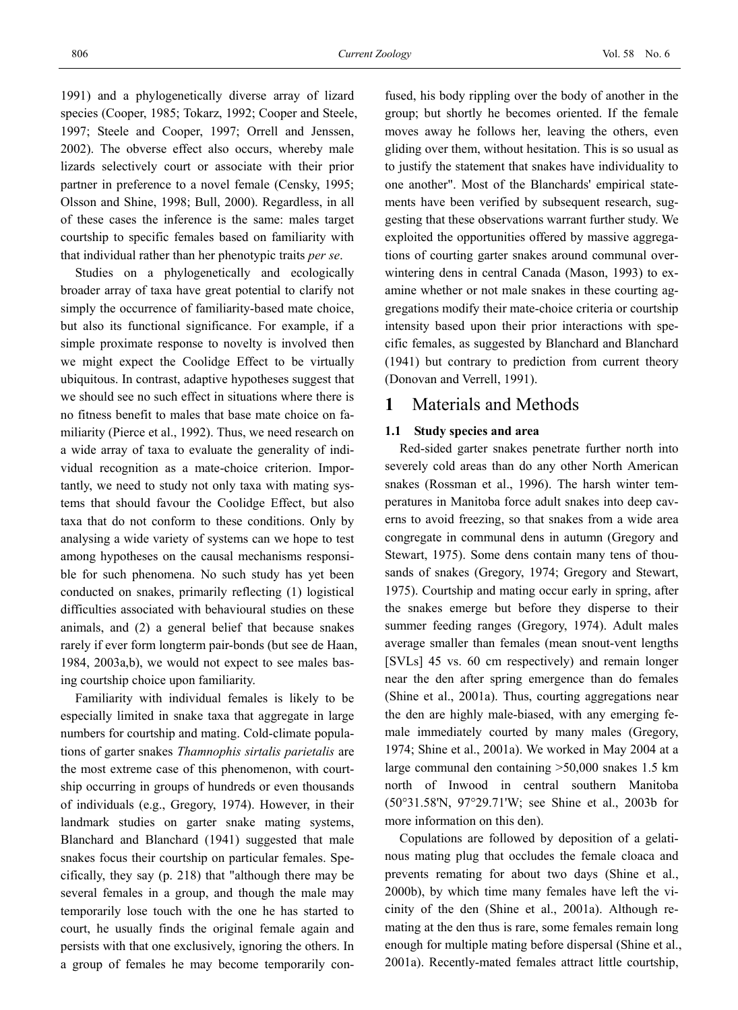1991) and a phylogenetically diverse array of lizard species (Cooper, 1985; Tokarz, 1992; Cooper and Steele, 1997; Steele and Cooper, 1997; Orrell and Jenssen, 2002). The obverse effect also occurs, whereby male lizards selectively court or associate with their prior partner in preference to a novel female (Censky, 1995; Olsson and Shine, 1998; Bull, 2000). Regardless, in all of these cases the inference is the same: males target courtship to specific females based on familiarity with that individual rather than her phenotypic traits *per se*.

Studies on a phylogenetically and ecologically broader array of taxa have great potential to clarify not simply the occurrence of familiarity-based mate choice, but also its functional significance. For example, if a simple proximate response to novelty is involved then we might expect the Coolidge Effect to be virtually ubiquitous. In contrast, adaptive hypotheses suggest that we should see no such effect in situations where there is no fitness benefit to males that base mate choice on familiarity (Pierce et al., 1992). Thus, we need research on a wide array of taxa to evaluate the generality of individual recognition as a mate-choice criterion. Importantly, we need to study not only taxa with mating systems that should favour the Coolidge Effect, but also taxa that do not conform to these conditions. Only by analysing a wide variety of systems can we hope to test among hypotheses on the causal mechanisms responsible for such phenomena. No such study has yet been conducted on snakes, primarily reflecting (1) logistical difficulties associated with behavioural studies on these animals, and (2) a general belief that because snakes rarely if ever form longterm pair-bonds (but see de Haan, 1984, 2003a,b), we would not expect to see males basing courtship choice upon familiarity.

Familiarity with individual females is likely to be especially limited in snake taxa that aggregate in large numbers for courtship and mating. Cold-climate populations of garter snakes *Thamnophis sirtalis parietalis* are the most extreme case of this phenomenon, with courtship occurring in groups of hundreds or even thousands of individuals (e.g., Gregory, 1974). However, in their landmark studies on garter snake mating systems, Blanchard and Blanchard (1941) suggested that male snakes focus their courtship on particular females. Specifically, they say (p. 218) that "although there may be several females in a group, and though the male may temporarily lose touch with the one he has started to court, he usually finds the original female again and persists with that one exclusively, ignoring the others. In a group of females he may become temporarily con-

fused, his body rippling over the body of another in the group; but shortly he becomes oriented. If the female moves away he follows her, leaving the others, even gliding over them, without hesitation. This is so usual as to justify the statement that snakes have individuality to one another". Most of the Blanchards' empirical statements have been verified by subsequent research, suggesting that these observations warrant further study. We exploited the opportunities offered by massive aggregations of courting garter snakes around communal overwintering dens in central Canada (Mason, 1993) to examine whether or not male snakes in these courting aggregations modify their mate-choice criteria or courtship intensity based upon their prior interactions with specific females, as suggested by Blanchard and Blanchard (1941) but contrary to prediction from current theory (Donovan and Verrell, 1991).

# **1** Materials and Methods

#### **1.1 Study species and area**

Red-sided garter snakes penetrate further north into severely cold areas than do any other North American snakes (Rossman et al., 1996). The harsh winter temperatures in Manitoba force adult snakes into deep caverns to avoid freezing, so that snakes from a wide area congregate in communal dens in autumn (Gregory and Stewart, 1975). Some dens contain many tens of thousands of snakes (Gregory, 1974; Gregory and Stewart, 1975). Courtship and mating occur early in spring, after the snakes emerge but before they disperse to their summer feeding ranges (Gregory, 1974). Adult males average smaller than females (mean snout-vent lengths [SVLs] 45 vs. 60 cm respectively) and remain longer near the den after spring emergence than do females (Shine et al., 2001a). Thus, courting aggregations near the den are highly male-biased, with any emerging female immediately courted by many males (Gregory, 1974; Shine et al., 2001a). We worked in May 2004 at a large communal den containing >50,000 snakes 1.5 km north of Inwood in central southern Manitoba (50°31.58'N, 97°29.71'W; see Shine et al., 2003b for more information on this den).

Copulations are followed by deposition of a gelatinous mating plug that occludes the female cloaca and prevents remating for about two days (Shine et al., 2000b), by which time many females have left the vicinity of the den (Shine et al., 2001a). Although remating at the den thus is rare, some females remain long enough for multiple mating before dispersal (Shine et al., 2001a). Recently-mated females attract little courtship,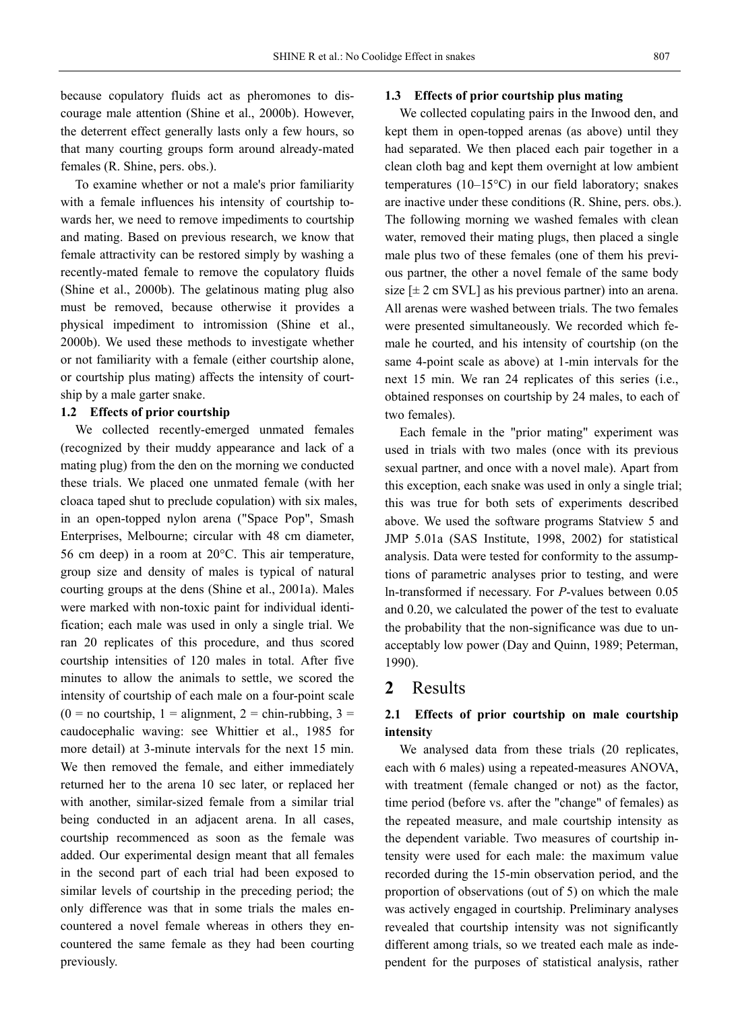because copulatory fluids act as pheromones to discourage male attention (Shine et al., 2000b). However, the deterrent effect generally lasts only a few hours, so that many courting groups form around already-mated females (R. Shine, pers. obs.).

To examine whether or not a male's prior familiarity with a female influences his intensity of courtship towards her, we need to remove impediments to courtship and mating. Based on previous research, we know that female attractivity can be restored simply by washing a recently-mated female to remove the copulatory fluids (Shine et al., 2000b). The gelatinous mating plug also must be removed, because otherwise it provides a physical impediment to intromission (Shine et al., 2000b). We used these methods to investigate whether or not familiarity with a female (either courtship alone, or courtship plus mating) affects the intensity of courtship by a male garter snake.

#### **1.2 Effects of prior courtship**

We collected recently-emerged unmated females (recognized by their muddy appearance and lack of a mating plug) from the den on the morning we conducted these trials. We placed one unmated female (with her cloaca taped shut to preclude copulation) with six males, in an open-topped nylon arena ("Space Pop", Smash Enterprises, Melbourne; circular with 48 cm diameter, 56 cm deep) in a room at 20°C. This air temperature, group size and density of males is typical of natural courting groups at the dens (Shine et al., 2001a). Males were marked with non-toxic paint for individual identification; each male was used in only a single trial. We ran 20 replicates of this procedure, and thus scored courtship intensities of 120 males in total. After five minutes to allow the animals to settle, we scored the intensity of courtship of each male on a four-point scale  $(0 = no$  courtship,  $1 =$  alignment,  $2 =$  chin-rubbing,  $3 =$ caudocephalic waving: see Whittier et al., 1985 for more detail) at 3-minute intervals for the next 15 min. We then removed the female, and either immediately returned her to the arena 10 sec later, or replaced her with another, similar-sized female from a similar trial being conducted in an adjacent arena. In all cases, courtship recommenced as soon as the female was added. Our experimental design meant that all females in the second part of each trial had been exposed to similar levels of courtship in the preceding period; the only difference was that in some trials the males encountered a novel female whereas in others they encountered the same female as they had been courting previously.

#### **1.3 Effects of prior courtship plus mating**

We collected copulating pairs in the Inwood den, and kept them in open-topped arenas (as above) until they had separated. We then placed each pair together in a clean cloth bag and kept them overnight at low ambient temperatures (10–15°C) in our field laboratory; snakes are inactive under these conditions (R. Shine, pers. obs.). The following morning we washed females with clean water, removed their mating plugs, then placed a single male plus two of these females (one of them his previous partner, the other a novel female of the same body size  $[\pm 2 \text{ cm}$  SVL] as his previous partner) into an arena. All arenas were washed between trials. The two females were presented simultaneously. We recorded which female he courted, and his intensity of courtship (on the same 4-point scale as above) at 1-min intervals for the next 15 min. We ran 24 replicates of this series (i.e., obtained responses on courtship by 24 males, to each of two females).

Each female in the "prior mating" experiment was used in trials with two males (once with its previous sexual partner, and once with a novel male). Apart from this exception, each snake was used in only a single trial; this was true for both sets of experiments described above. We used the software programs Statview 5 and JMP 5.01a (SAS Institute, 1998, 2002) for statistical analysis. Data were tested for conformity to the assumptions of parametric analyses prior to testing, and were ln-transformed if necessary. For *P*-values between 0.05 and 0.20, we calculated the power of the test to evaluate the probability that the non-significance was due to unacceptably low power (Day and Quinn, 1989; Peterman, 1990).

# **2** Results

## **2.1 Effects of prior courtship on male courtship intensity**

We analysed data from these trials (20 replicates, each with 6 males) using a repeated-measures ANOVA, with treatment (female changed or not) as the factor, time period (before vs. after the "change" of females) as the repeated measure, and male courtship intensity as the dependent variable. Two measures of courtship intensity were used for each male: the maximum value recorded during the 15-min observation period, and the proportion of observations (out of 5) on which the male was actively engaged in courtship. Preliminary analyses revealed that courtship intensity was not significantly different among trials, so we treated each male as independent for the purposes of statistical analysis, rather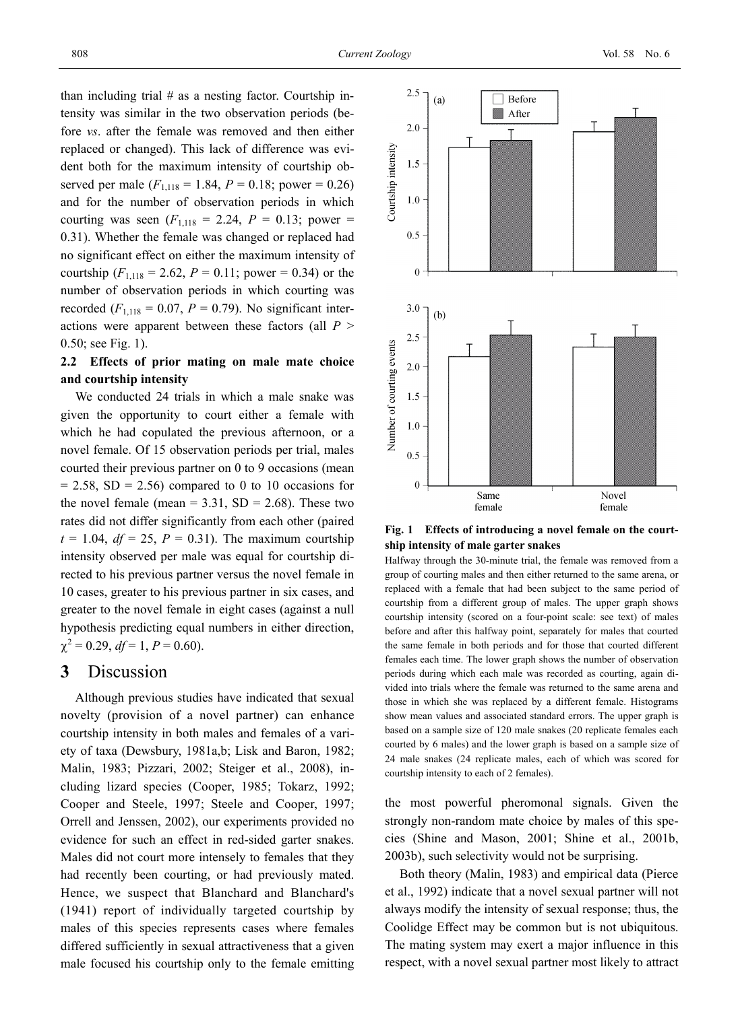than including trial  $#$  as a nesting factor. Courtship intensity was similar in the two observation periods (before *vs*. after the female was removed and then either replaced or changed). This lack of difference was evident both for the maximum intensity of courtship observed per male  $(F_{1,118} = 1.84, P = 0.18;$  power = 0.26) and for the number of observation periods in which courting was seen  $(F_{1,118} = 2.24, P = 0.13;$  power = 0.31). Whether the female was changed or replaced had no significant effect on either the maximum intensity of courtship  $(F_{1,118} = 2.62, P = 0.11;$  power = 0.34) or the number of observation periods in which courting was recorded  $(F_{1,118} = 0.07, P = 0.79)$ . No significant interactions were apparent between these factors (all *P* > 0.50; see Fig. 1).

## **2.2 Effects of prior mating on male mate choice and courtship intensity**

We conducted 24 trials in which a male snake was given the opportunity to court either a female with which he had copulated the previous afternoon, or a novel female. Of 15 observation periods per trial, males courted their previous partner on 0 to 9 occasions (mean  $= 2.58$ , SD  $= 2.56$ ) compared to 0 to 10 occasions for the novel female (mean  $= 3.31$ , SD  $= 2.68$ ). These two rates did not differ significantly from each other (paired  $t = 1.04$ ,  $df = 25$ ,  $P = 0.31$ ). The maximum courtship intensity observed per male was equal for courtship directed to his previous partner versus the novel female in 10 cases, greater to his previous partner in six cases, and greater to the novel female in eight cases (against a null hypothesis predicting equal numbers in either direction,  $\chi^2 = 0.29$ ,  $df = 1$ ,  $P = 0.60$ ).

# **3** Discussion

Although previous studies have indicated that sexual novelty (provision of a novel partner) can enhance courtship intensity in both males and females of a variety of taxa (Dewsbury, 1981a,b; Lisk and Baron, 1982; Malin, 1983; Pizzari, 2002; Steiger et al., 2008), including lizard species (Cooper, 1985; Tokarz, 1992; Cooper and Steele, 1997; Steele and Cooper, 1997; Orrell and Jenssen, 2002), our experiments provided no evidence for such an effect in red-sided garter snakes. Males did not court more intensely to females that they had recently been courting, or had previously mated. Hence, we suspect that Blanchard and Blanchard's (1941) report of individually targeted courtship by males of this species represents cases where females differed sufficiently in sexual attractiveness that a given male focused his courtship only to the female emitting



**Fig. 1 Effects of introducing a novel female on the courtship intensity of male garter snakes** 

Halfway through the 30-minute trial, the female was removed from a group of courting males and then either returned to the same arena, or replaced with a female that had been subject to the same period of courtship from a different group of males. The upper graph shows courtship intensity (scored on a four-point scale: see text) of males before and after this halfway point, separately for males that courted the same female in both periods and for those that courted different females each time. The lower graph shows the number of observation periods during which each male was recorded as courting, again divided into trials where the female was returned to the same arena and those in which she was replaced by a different female. Histograms show mean values and associated standard errors. The upper graph is based on a sample size of 120 male snakes (20 replicate females each courted by 6 males) and the lower graph is based on a sample size of 24 male snakes (24 replicate males, each of which was scored for courtship intensity to each of 2 females).

the most powerful pheromonal signals. Given the strongly non-random mate choice by males of this species (Shine and Mason, 2001; Shine et al., 2001b, 2003b), such selectivity would not be surprising.

Both theory (Malin, 1983) and empirical data (Pierce et al., 1992) indicate that a novel sexual partner will not always modify the intensity of sexual response; thus, the Coolidge Effect may be common but is not ubiquitous. The mating system may exert a major influence in this respect, with a novel sexual partner most likely to attract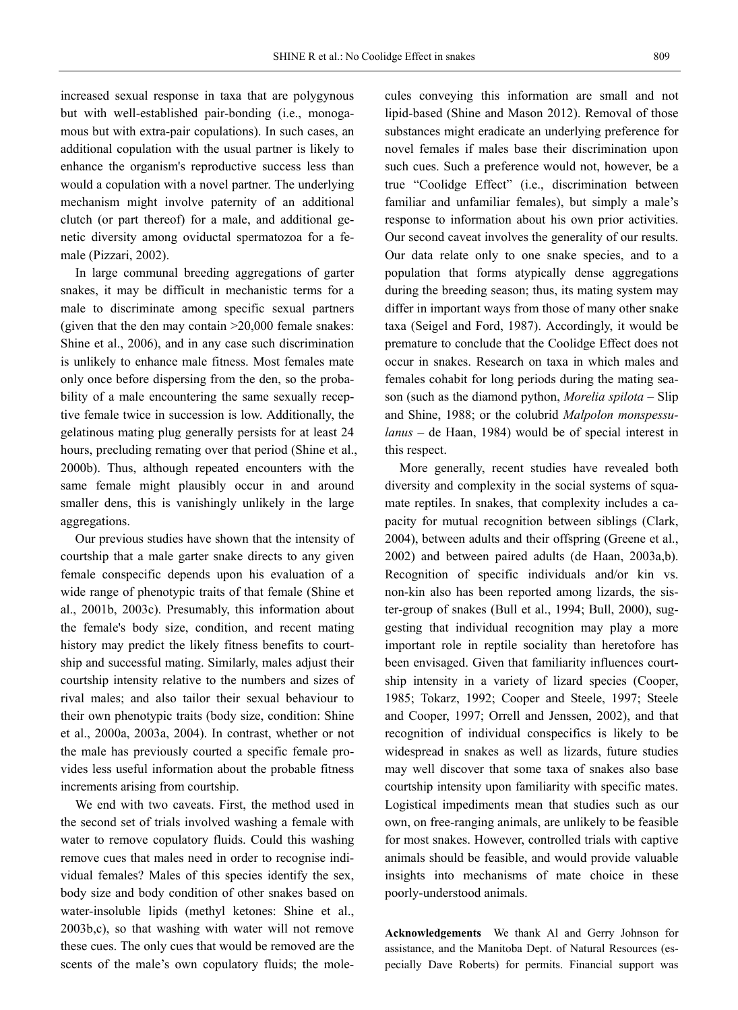increased sexual response in taxa that are polygynous but with well-established pair-bonding (i.e., monogamous but with extra-pair copulations). In such cases, an additional copulation with the usual partner is likely to enhance the organism's reproductive success less than would a copulation with a novel partner. The underlying mechanism might involve paternity of an additional clutch (or part thereof) for a male, and additional genetic diversity among oviductal spermatozoa for a female (Pizzari, 2002).

In large communal breeding aggregations of garter snakes, it may be difficult in mechanistic terms for a male to discriminate among specific sexual partners (given that the den may contain >20,000 female snakes: Shine et al., 2006), and in any case such discrimination is unlikely to enhance male fitness. Most females mate only once before dispersing from the den, so the probability of a male encountering the same sexually receptive female twice in succession is low. Additionally, the gelatinous mating plug generally persists for at least 24 hours, precluding remating over that period (Shine et al., 2000b). Thus, although repeated encounters with the same female might plausibly occur in and around smaller dens, this is vanishingly unlikely in the large aggregations.

Our previous studies have shown that the intensity of courtship that a male garter snake directs to any given female conspecific depends upon his evaluation of a wide range of phenotypic traits of that female (Shine et al., 2001b, 2003c). Presumably, this information about the female's body size, condition, and recent mating history may predict the likely fitness benefits to courtship and successful mating. Similarly, males adjust their courtship intensity relative to the numbers and sizes of rival males; and also tailor their sexual behaviour to their own phenotypic traits (body size, condition: Shine et al., 2000a, 2003a, 2004). In contrast, whether or not the male has previously courted a specific female provides less useful information about the probable fitness increments arising from courtship.

We end with two caveats. First, the method used in the second set of trials involved washing a female with water to remove copulatory fluids. Could this washing remove cues that males need in order to recognise individual females? Males of this species identify the sex, body size and body condition of other snakes based on water-insoluble lipids (methyl ketones: Shine et al., 2003b,c), so that washing with water will not remove these cues. The only cues that would be removed are the scents of the male's own copulatory fluids; the molecules conveying this information are small and not lipid-based (Shine and Mason 2012). Removal of those substances might eradicate an underlying preference for novel females if males base their discrimination upon such cues. Such a preference would not, however, be a true "Coolidge Effect" (i.e., discrimination between familiar and unfamiliar females), but simply a male's response to information about his own prior activities. Our second caveat involves the generality of our results. Our data relate only to one snake species, and to a population that forms atypically dense aggregations during the breeding season; thus, its mating system may differ in important ways from those of many other snake taxa (Seigel and Ford, 1987). Accordingly, it would be premature to conclude that the Coolidge Effect does not occur in snakes. Research on taxa in which males and females cohabit for long periods during the mating season (such as the diamond python, *Morelia spilota* – Slip and Shine, 1988; or the colubrid *Malpolon monspessulanus* – de Haan, 1984) would be of special interest in this respect.

More generally, recent studies have revealed both diversity and complexity in the social systems of squamate reptiles. In snakes, that complexity includes a capacity for mutual recognition between siblings (Clark, 2004), between adults and their offspring (Greene et al., 2002) and between paired adults (de Haan, 2003a,b). Recognition of specific individuals and/or kin vs. non-kin also has been reported among lizards, the sister-group of snakes (Bull et al., 1994; Bull, 2000), suggesting that individual recognition may play a more important role in reptile sociality than heretofore has been envisaged. Given that familiarity influences courtship intensity in a variety of lizard species (Cooper, 1985; Tokarz, 1992; Cooper and Steele, 1997; Steele and Cooper, 1997; Orrell and Jenssen, 2002), and that recognition of individual conspecifics is likely to be widespread in snakes as well as lizards, future studies may well discover that some taxa of snakes also base courtship intensity upon familiarity with specific mates. Logistical impediments mean that studies such as our own, on free-ranging animals, are unlikely to be feasible for most snakes. However, controlled trials with captive animals should be feasible, and would provide valuable insights into mechanisms of mate choice in these poorly-understood animals.

**Acknowledgements** We thank Al and Gerry Johnson for assistance, and the Manitoba Dept. of Natural Resources (especially Dave Roberts) for permits. Financial support was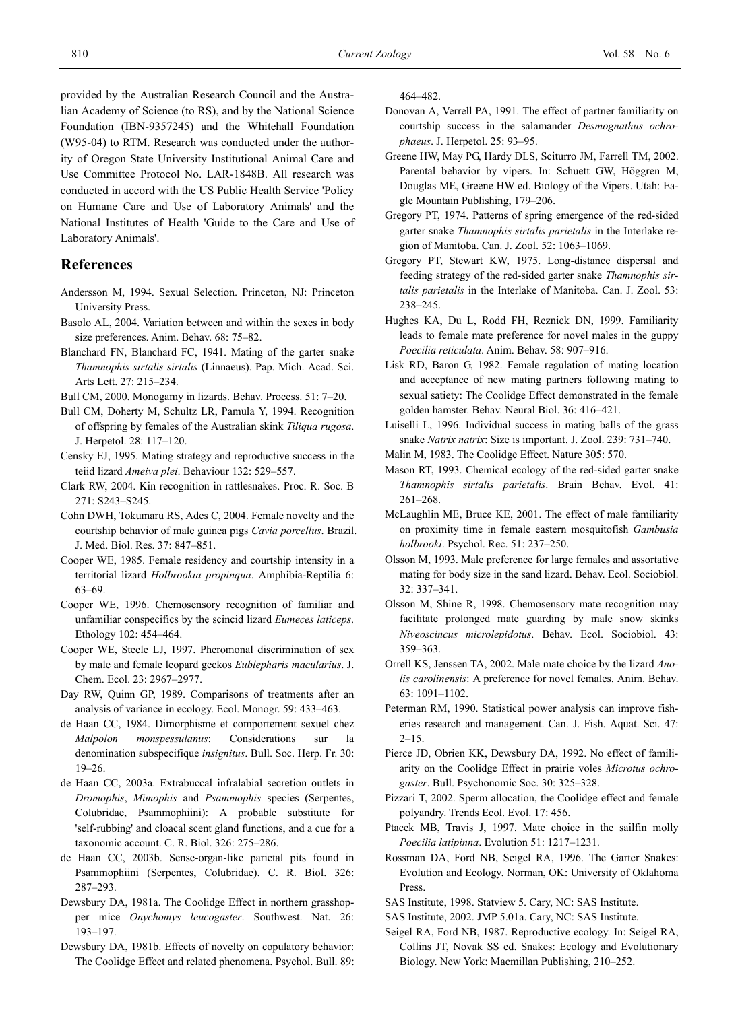provided by the Australian Research Council and the Australian Academy of Science (to RS), and by the National Science Foundation (IBN-9357245) and the Whitehall Foundation (W95-04) to RTM. Research was conducted under the authority of Oregon State University Institutional Animal Care and Use Committee Protocol No. LAR-1848B. All research was conducted in accord with the US Public Health Service 'Policy on Humane Care and Use of Laboratory Animals' and the National Institutes of Health 'Guide to the Care and Use of Laboratory Animals'.

### **References**

- Andersson M, 1994. Sexual Selection. Princeton, NJ: Princeton University Press.
- Basolo AL, 2004. Variation between and within the sexes in body size preferences. Anim. Behav. 68: 75–82.
- Blanchard FN, Blanchard FC, 1941. Mating of the garter snake *Thamnophis sirtalis sirtalis* (Linnaeus). Pap. Mich. Acad. Sci. Arts Lett. 27: 215–234.
- Bull CM, 2000. Monogamy in lizards. Behav. Process. 51: 7–20.
- Bull CM, Doherty M, Schultz LR, Pamula Y, 1994. Recognition of offspring by females of the Australian skink *Tiliqua rugosa*. J. Herpetol. 28: 117–120.
- Censky EJ, 1995. Mating strategy and reproductive success in the teiid lizard *Ameiva plei*. Behaviour 132: 529–557.
- Clark RW, 2004. Kin recognition in rattlesnakes. Proc. R. Soc. B 271: S243–S245.
- Cohn DWH, Tokumaru RS, Ades C, 2004. Female novelty and the courtship behavior of male guinea pigs *Cavia porcellus*. Brazil. J. Med. Biol. Res. 37: 847–851.
- Cooper WE, 1985. Female residency and courtship intensity in a territorial lizard *Holbrookia propinqua*. Amphibia-Reptilia 6: 63–69.
- Cooper WE, 1996. Chemosensory recognition of familiar and unfamiliar conspecifics by the scincid lizard *Eumeces laticeps*. Ethology 102: 454–464.
- Cooper WE, Steele LJ, 1997. Pheromonal discrimination of sex by male and female leopard geckos *Eublepharis macularius*. J. Chem. Ecol. 23: 2967–2977.
- Day RW, Quinn GP, 1989. Comparisons of treatments after an analysis of variance in ecology. Ecol. Monogr. 59: 433–463.
- de Haan CC, 1984. Dimorphisme et comportement sexuel chez *Malpolon monspessulanus*: Considerations sur la denomination subspecifique *insignitus*. Bull. Soc. Herp. Fr. 30: 19–26.
- de Haan CC, 2003a. Extrabuccal infralabial secretion outlets in *Dromophis*, *Mimophis* and *Psammophis* species (Serpentes, Colubridae, Psammophiini): A probable substitute for 'self-rubbing' and cloacal scent gland functions, and a cue for a taxonomic account. C. R. Biol. 326: 275–286.
- de Haan CC, 2003b. Sense-organ-like parietal pits found in Psammophiini (Serpentes, Colubridae). C. R. Biol. 326: 287–293.
- Dewsbury DA, 1981a. The Coolidge Effect in northern grasshopper mice *Onychomys leucogaster*. Southwest. Nat. 26: 193–197.
- Dewsbury DA, 1981b. Effects of novelty on copulatory behavior: The Coolidge Effect and related phenomena. Psychol. Bull. 89:

464–482.

- Donovan A, Verrell PA, 1991. The effect of partner familiarity on courtship success in the salamander *Desmognathus ochrophaeus*. J. Herpetol. 25: 93–95.
- Greene HW, May PG, Hardy DLS, Sciturro JM, Farrell TM, 2002. Parental behavior by vipers. In: Schuett GW, Höggren M, Douglas ME, Greene HW ed. Biology of the Vipers. Utah: Eagle Mountain Publishing, 179–206.
- Gregory PT, 1974. Patterns of spring emergence of the red-sided garter snake *Thamnophis sirtalis parietalis* in the Interlake region of Manitoba. Can. J. Zool. 52: 1063–1069.
- Gregory PT, Stewart KW, 1975. Long-distance dispersal and feeding strategy of the red-sided garter snake *Thamnophis sirtalis parietalis* in the Interlake of Manitoba. Can. J. Zool. 53: 238–245.
- Hughes KA, Du L, Rodd FH, Reznick DN, 1999. Familiarity leads to female mate preference for novel males in the guppy *Poecilia reticulata*. Anim. Behav. 58: 907–916.
- Lisk RD, Baron G, 1982. Female regulation of mating location and acceptance of new mating partners following mating to sexual satiety: The Coolidge Effect demonstrated in the female golden hamster. Behav. Neural Biol. 36: 416–421.
- Luiselli L, 1996. Individual success in mating balls of the grass snake *Natrix natrix*: Size is important. J. Zool. 239: 731–740.
- Malin M, 1983. The Coolidge Effect. Nature 305: 570.
- Mason RT, 1993. Chemical ecology of the red-sided garter snake *Thamnophis sirtalis parietalis*. Brain Behav. Evol. 41: 261–268.
- McLaughlin ME, Bruce KE, 2001. The effect of male familiarity on proximity time in female eastern mosquitofish *Gambusia holbrooki*. Psychol. Rec. 51: 237–250.
- Olsson M, 1993. Male preference for large females and assortative mating for body size in the sand lizard. Behav. Ecol. Sociobiol. 32: 337–341.
- Olsson M, Shine R, 1998. Chemosensory mate recognition may facilitate prolonged mate guarding by male snow skinks *Niveoscincus microlepidotus*. Behav. Ecol. Sociobiol. 43: 359–363.
- Orrell KS, Jenssen TA, 2002. Male mate choice by the lizard *Anolis carolinensis*: A preference for novel females. Anim. Behav. 63: 1091–1102.
- Peterman RM, 1990. Statistical power analysis can improve fisheries research and management. Can. J. Fish. Aquat. Sci. 47:  $2 - 15$
- Pierce JD, Obrien KK, Dewsbury DA, 1992. No effect of familiarity on the Coolidge Effect in prairie voles *Microtus ochrogaster*. Bull. Psychonomic Soc. 30: 325–328.
- Pizzari T, 2002. Sperm allocation, the Coolidge effect and female polyandry. Trends Ecol. Evol. 17: 456.
- Ptacek MB, Travis J, 1997. Mate choice in the sailfin molly *Poecilia latipinna*. Evolution 51: 1217–1231.
- Rossman DA, Ford NB, Seigel RA, 1996. The Garter Snakes: Evolution and Ecology. Norman, OK: University of Oklahoma Press.
- SAS Institute, 1998. Statview 5. Cary, NC: SAS Institute.
- SAS Institute, 2002. JMP 5.01a. Cary, NC: SAS Institute.
- Seigel RA, Ford NB, 1987. Reproductive ecology. In: Seigel RA, Collins JT, Novak SS ed. Snakes: Ecology and Evolutionary Biology. New York: Macmillan Publishing, 210–252.